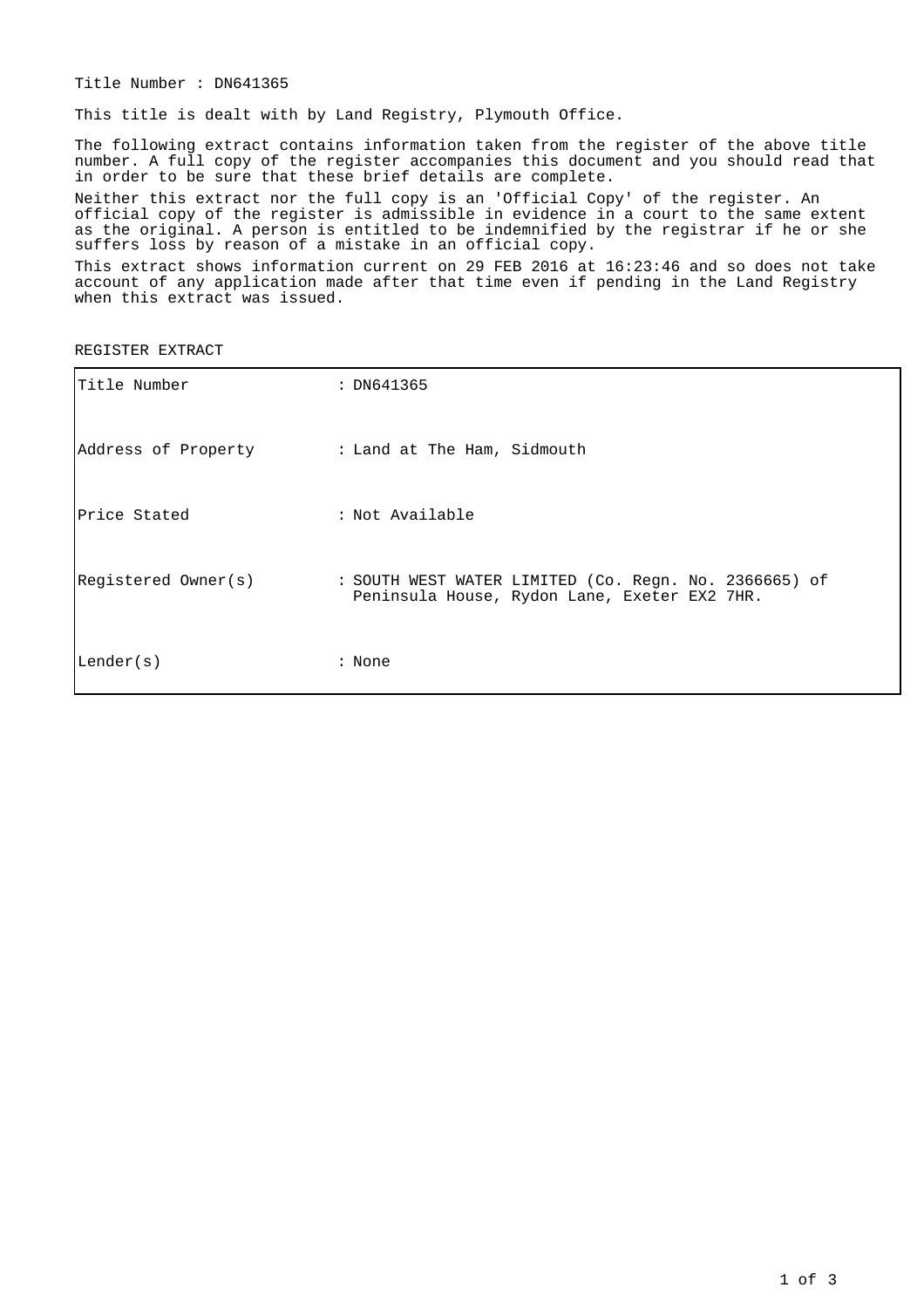Title Number : DN641365

This title is dealt with by Land Registry, Plymouth Office.

The following extract contains information taken from the register of the above title number. A full copy of the register accompanies this document and you should read that in order to be sure that these brief details are complete.

Neither this extract nor the full copy is an 'Official Copy' of the register. An official copy of the register is admissible in evidence in a court to the same extent as the original. A person is entitled to be indemnified by the registrar if he or she suffers loss by reason of a mistake in an official copy.

This extract shows information current on 29 FEB 2016 at 16:23:46 and so does not take account of any application made after that time even if pending in the Land Registry when this extract was issued.

REGISTER EXTRACT

| Title Number                                    | : DN641365                                                                                            |
|-------------------------------------------------|-------------------------------------------------------------------------------------------------------|
| Address of Property : Land at The Ham, Sidmouth |                                                                                                       |
| Price Stated                                    | : Not Available                                                                                       |
| Registered Owner(s)                             | : SOUTH WEST WATER LIMITED (Co. Regn. No. 2366665) of<br>Peninsula House, Rydon Lane, Exeter EX2 7HR. |
| Lender(s)                                       | : None                                                                                                |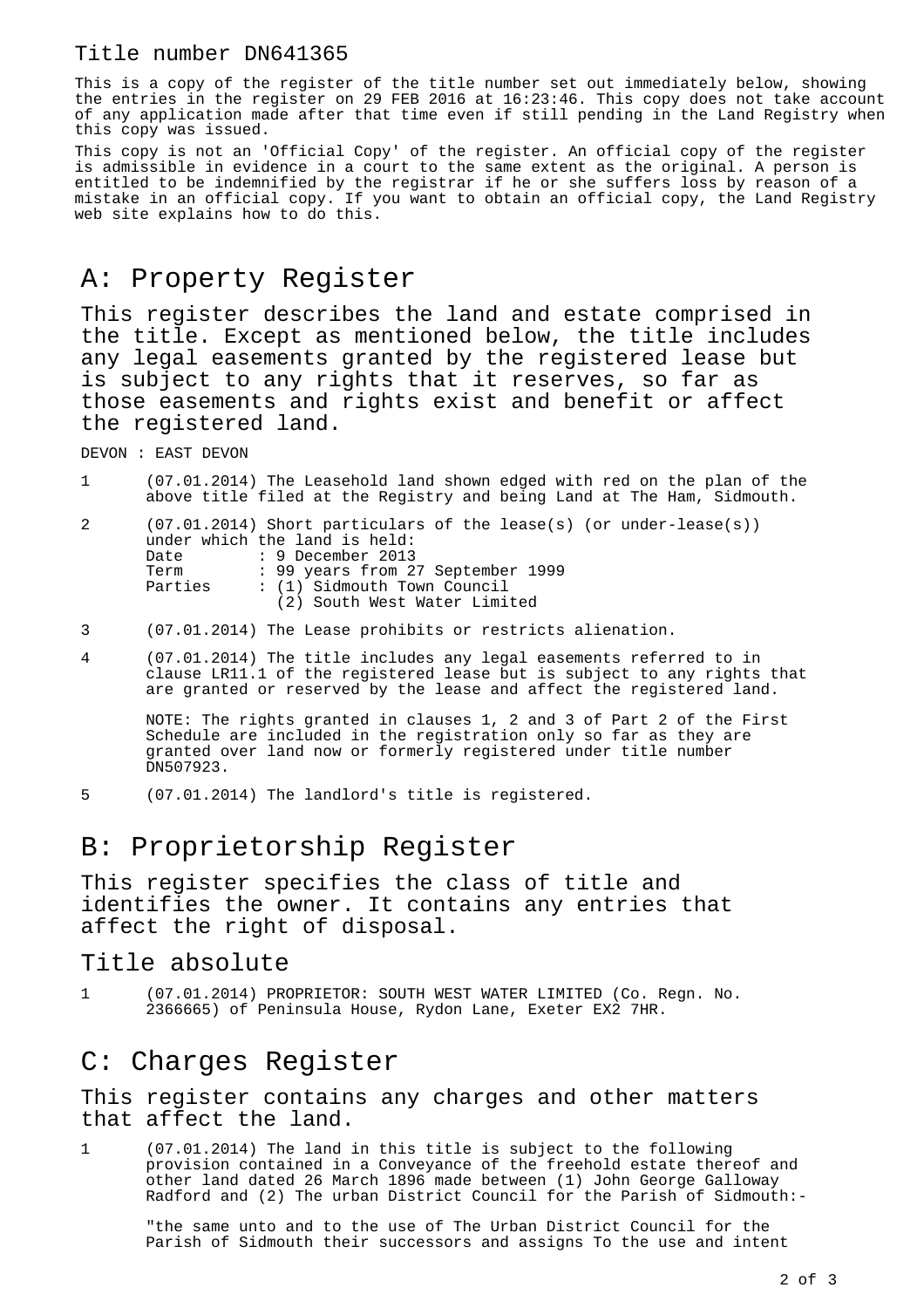#### Title number DN641365

This is a copy of the register of the title number set out immediately below, showing the entries in the register on 29 FEB 2016 at 16:23:46. This copy does not take account of any application made after that time even if still pending in the Land Registry when this copy was issued.

This copy is not an 'Official Copy' of the register. An official copy of the register is admissible in evidence in a court to the same extent as the original. A person is entitled to be indemnified by the registrar if he or she suffers loss by reason of a mistake in an official copy. If you want to obtain an official copy, the Land Registry web site explains how to do this.

### A: Property Register

This register describes the land and estate comprised in the title. Except as mentioned below, the title includes any legal easements granted by the registered lease but is subject to any rights that it reserves, so far as those easements and rights exist and benefit or affect the registered land.

DEVON : EAST DEVON

1 (07.01.2014) The Leasehold land shown edged with red on the plan of the above title filed at the Registry and being Land at The Ham, Sidmouth.

2 (07.01.2014) Short particulars of the lease(s) (or under-lease(s)) under which the land is held: Date : 9 December 2013<br>Term : 99 years from 2 : 99 years from 27 September 1999 Parties : (1) Sidmouth Town Council (2) South West Water Limited

- 3 (07.01.2014) The Lease prohibits or restricts alienation.
- 4 (07.01.2014) The title includes any legal easements referred to in clause LR11.1 of the registered lease but is subject to any rights that are granted or reserved by the lease and affect the registered land.

NOTE: The rights granted in clauses 1, 2 and 3 of Part 2 of the First Schedule are included in the registration only so far as they are granted over land now or formerly registered under title number DN507923.

5 (07.01.2014) The landlord's title is registered.

## B: Proprietorship Register

This register specifies the class of title and identifies the owner. It contains any entries that affect the right of disposal.

#### Title absolute

1 (07.01.2014) PROPRIETOR: SOUTH WEST WATER LIMITED (Co. Regn. No. 2366665) of Peninsula House, Rydon Lane, Exeter EX2 7HR.

## C: Charges Register

This register contains any charges and other matters that affect the land.

1 (07.01.2014) The land in this title is subject to the following provision contained in a Conveyance of the freehold estate thereof and other land dated 26 March 1896 made between (1) John George Galloway Radford and (2) The urban District Council for the Parish of Sidmouth:-

"the same unto and to the use of The Urban District Council for the Parish of Sidmouth their successors and assigns To the use and intent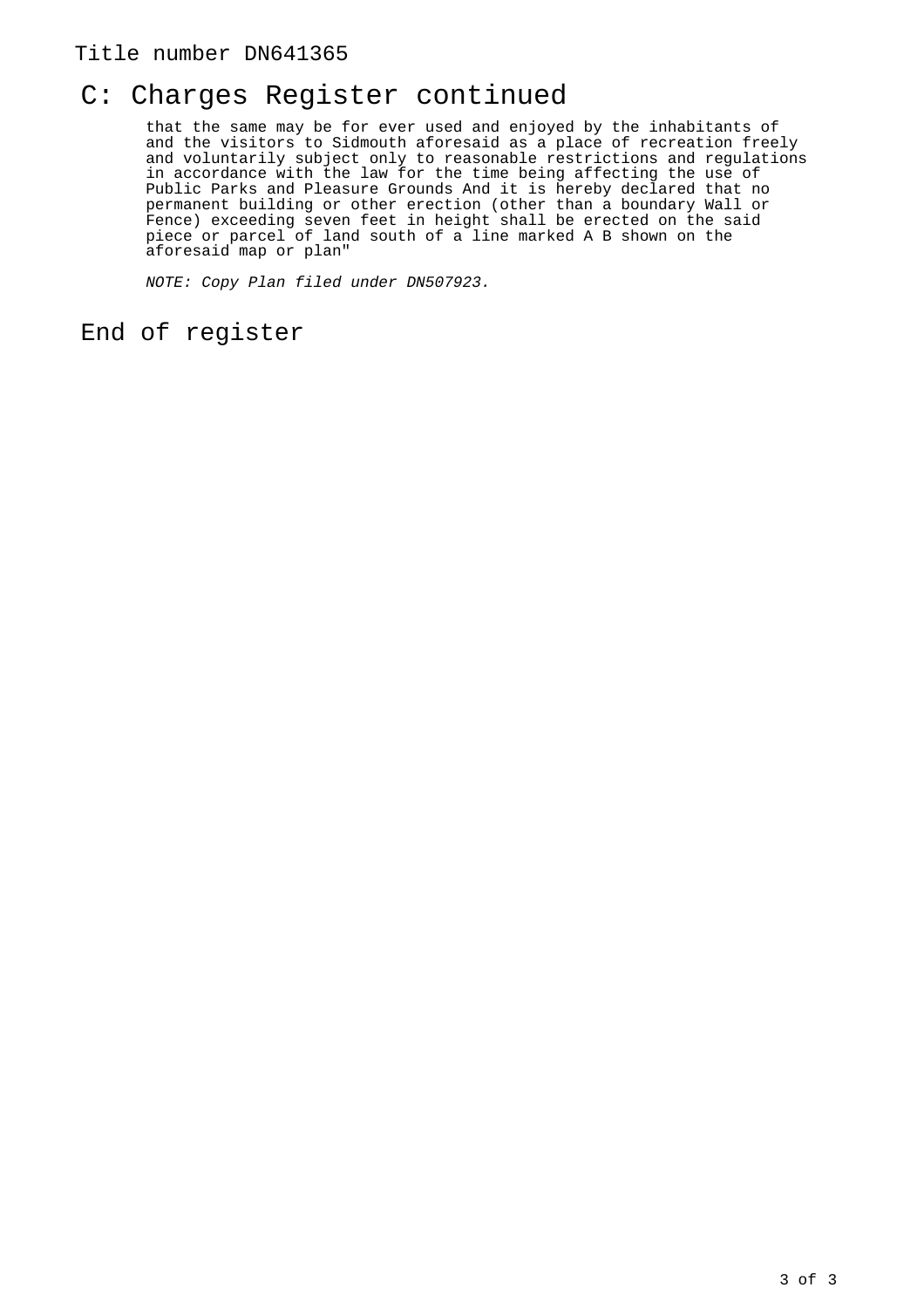#### Title number DN641365

# C: Charges Register continued

that the same may be for ever used and enjoyed by the inhabitants of and the visitors to Sidmouth aforesaid as a place of recreation freely and voluntarily subject only to reasonable restrictions and regulations in accordance with the law for the time being affecting the use of Public Parks and Pleasure Grounds And it is hereby declared that no permanent building or other erection (other than a boundary Wall or Fence) exceeding seven feet in height shall be erected on the said piece or parcel of land south of a line marked A B shown on the aforesaid map or plan"

NOTE: Copy Plan filed under DN507923.

#### End of register